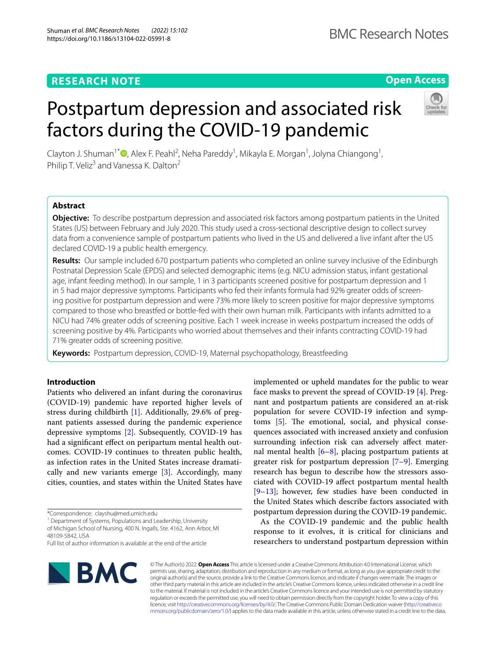# **Open Access**

# Postpartum depression and associated risk factors during the COVID-19 pandemic



Clayton J. Shuman<sup>1[\\*](http://orcid.org/0000-0002-6072-9739)</sup><sup>®</sup>, Alex F. Peahl<sup>2</sup>, Neha Pareddy<sup>1</sup>, Mikayla E. Morgan<sup>1</sup>, Jolyna Chiangong<sup>1</sup>, Philip T. Veliz<sup>3</sup> and Vanessa K. Dalton<sup>2</sup>

# **Abstract**

**Objective:** To describe postpartum depression and associated risk factors among postpartum patients in the United States (US) between February and July 2020. This study used a cross-sectional descriptive design to collect survey data from a convenience sample of postpartum patients who lived in the US and delivered a live infant after the US declared COVID-19 a public health emergency.

**Results:** Our sample included 670 postpartum patients who completed an online survey inclusive of the Edinburgh Postnatal Depression Scale (EPDS) and selected demographic items (e.g. NICU admission status, infant gestational age, infant feeding method). In our sample, 1 in 3 participants screened positive for postpartum depression and 1 in 5 had major depressive symptoms. Participants who fed their infants formula had 92% greater odds of screening positive for postpartum depression and were 73% more likely to screen positive for major depressive symptoms compared to those who breastfed or bottle-fed with their own human milk. Participants with infants admitted to a NICU had 74% greater odds of screening positive. Each 1 week increase in weeks postpartum increased the odds of screening positive by 4%. Participants who worried about themselves and their infants contracting COVID-19 had 71% greater odds of screening positive.

**Keywords:** Postpartum depression, COVID-19, Maternal psychopathology, Breastfeeding

# **Introduction**

Patients who delivered an infant during the coronavirus (COVID-19) pandemic have reported higher levels of stress during childbirth [[1\]](#page-4-0). Additionally, 29.6% of pregnant patients assessed during the pandemic experience depressive symptoms [[2\]](#page-4-1). Subsequently, COVID-19 has had a significant effect on peripartum mental health outcomes. COVID-19 continues to threaten public health, as infection rates in the United States increase dramatically and new variants emerge [[3\]](#page-4-2). Accordingly, many cities, counties, and states within the United States have

\*Correspondence: clayshu@med.umich.edu

<sup>1</sup> Department of Systems, Populations and Leadership, University of Michigan School of Nursing, 400 N. Ingalls, Ste. 4162, Ann Arbor, MI 48109-5842, USA

Full list of author information is available at the end of the article



implemented or upheld mandates for the public to wear face masks to prevent the spread of COVID-19 [[4](#page-4-3)]. Pregnant and postpartum patients are considered an at-risk population for severe COVID-19 infection and symptoms  $[5]$ . The emotional, social, and physical consequences associated with increased anxiety and confusion surrounding infection risk can adversely afect maternal mental health  $[6–8]$  $[6–8]$  $[6–8]$ , placing postpartum patients at greater risk for postpartum depression [\[7](#page-4-7)[–9\]](#page-4-8). Emerging research has begun to describe how the stressors associated with COVID-19 afect postpartum mental health [[9–](#page-4-8)[13\]](#page-4-9); however, few studies have been conducted in the United States which describe factors associated with postpartum depression during the COVID-19 pandemic.

As the COVID-19 pandemic and the public health response to it evolves, it is critical for clinicians and researchers to understand postpartum depression within

© The Author(s) 2022. **Open Access** This article is licensed under a Creative Commons Attribution 4.0 International License, which permits use, sharing, adaptation, distribution and reproduction in any medium or format, as long as you give appropriate credit to the original author(s) and the source, provide a link to the Creative Commons licence, and indicate if changes were made. The images or other third party material in this article are included in the article's Creative Commons licence, unless indicated otherwise in a credit line to the material. If material is not included in the article's Creative Commons licence and your intended use is not permitted by statutory regulation or exceeds the permitted use, you will need to obtain permission directly from the copyright holder. To view a copy of this licence, visit [http://creativecommons.org/licenses/by/4.0/.](http://creativecommons.org/licenses/by/4.0/) The Creative Commons Public Domain Dedication waiver ([http://creativeco](http://creativecommons.org/publicdomain/zero/1.0/) [mmons.org/publicdomain/zero/1.0/](http://creativecommons.org/publicdomain/zero/1.0/)) applies to the data made available in this article, unless otherwise stated in a credit line to the data.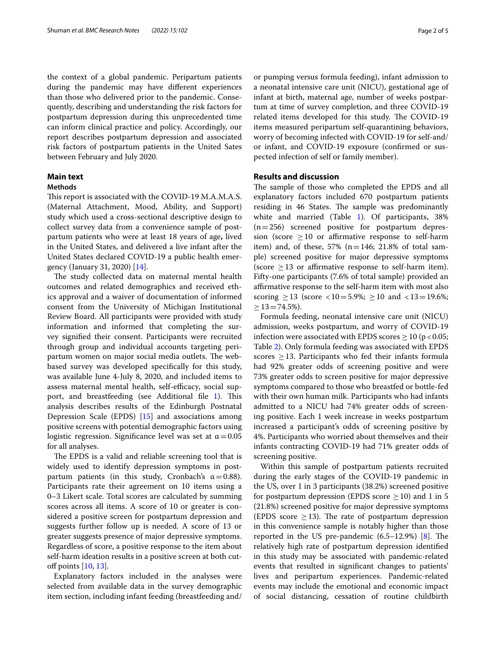the context of a global pandemic. Peripartum patients during the pandemic may have diferent experiences than those who delivered prior to the pandemic. Consequently, describing and understanding the risk factors for postpartum depression during this unprecedented time can inform clinical practice and policy. Accordingly, our report describes postpartum depression and associated risk factors of postpartum patients in the United Sates between February and July 2020.

# **Main text**

# **Methods**

This report is associated with the COVID-19 M.A.M.A.S. (Maternal Attachment, Mood, Ability, and Support) study which used a cross-sectional descriptive design to collect survey data from a convenience sample of postpartum patients who were at least 18 years of age**,** lived in the United States, and delivered a live infant after the United States declared COVID-19 a public health emergency (January 31, 2020) [[14\]](#page-4-10).

The study collected data on maternal mental health outcomes and related demographics and received ethics approval and a waiver of documentation of informed consent from the University of Michigan Institutional Review Board. All participants were provided with study information and informed that completing the survey signifed their consent. Participants were recruited through group and individual accounts targeting peripartum women on major social media outlets. The webbased survey was developed specifcally for this study, was available June 4-July 8, 2020, and included items to assess maternal mental health, self-efficacy, social sup-port, and breastfeeding (see Additional file [1](#page-3-0)). This analysis describes results of the Edinburgh Postnatal Depression Scale (EPDS) [\[15\]](#page-4-11) and associations among positive screens with potential demographic factors using logistic regression. Significance level was set at  $\alpha$  = 0.05 for all analyses.

The EPDS is a valid and reliable screening tool that is widely used to identify depression symptoms in postpartum patients (in this study, Cronbach's  $\alpha$  = 0.88). Participants rate their agreement on 10 items using a 0–3 Likert scale. Total scores are calculated by summing scores across all items. A score of 10 or greater is considered a positive screen for postpartum depression and suggests further follow up is needed. A score of 13 or greater suggests presence of major depressive symptoms. Regardless of score, a positive response to the item about self-harm ideation results in a positive screen at both cut-off points [\[10,](#page-4-12) [13](#page-4-9)].

Explanatory factors included in the analyses were selected from available data in the survey demographic item section, including infant feeding (breastfeeding and/ or pumping versus formula feeding), infant admission to a neonatal intensive care unit (NICU), gestational age of infant at birth, maternal age, number of weeks postpartum at time of survey completion, and three COVID-19 related items developed for this study. The COVID-19 items measured peripartum self-quarantining behaviors, worry of becoming infected with COVID-19 for self-and/ or infant, and COVID-19 exposure (confrmed or suspected infection of self or family member).

# **Results and discussion**

The sample of those who completed the EPDS and all explanatory factors included 670 postpartum patients residing in 46 States. The sample was predominantly white and married (Table [1\)](#page-2-0). Of participants, 38%  $(n=256)$  screened positive for postpartum depression (score  $\geq$  10 or affirmative response to self-harm item) and, of these,  $57\%$  (n=146; 21.8% of total sample) screened positive for major depressive symptoms (score  $\geq$  13 or affirmative response to self-harm item). Fifty-one participants (7.6% of total sample) provided an afrmative response to the self-harm item with most also scoring  $\geq$  13 (score <10=5.9%;  $\geq$  10 and <13=19.6%;  $>13=74.5\%$ ).

Formula feeding, neonatal intensive care unit (NICU) admission, weeks postpartum, and worry of COVID-19 infection were associated with EPDS scores  $\geq 10$  (p < 0.05; Table [2](#page-2-1)). Only formula feeding was associated with EPDS scores  $\geq$  13. Participants who fed their infants formula had 92% greater odds of screening positive and were 73% greater odds to screen positive for major depressive symptoms compared to those who breastfed or bottle-fed with their own human milk. Participants who had infants admitted to a NICU had 74% greater odds of screening positive. Each 1 week increase in weeks postpartum increased a participant's odds of screening positive by 4%. Participants who worried about themselves and their infants contracting COVID-19 had 71% greater odds of screening positive.

Within this sample of postpartum patients recruited during the early stages of the COVID-19 pandemic in the US, over 1 in 3 participants (38.2%) screened positive for postpartum depression (EPDS score  $\geq$  10) and 1 in 5 (21.8%) screened positive for major depressive symptoms (EPDS score  $\geq$  13). The rate of postpartum depression in this convenience sample is notably higher than those reported in the US pre-pandemic  $(6.5-12.9%)$  [[8](#page-4-6)]. The relatively high rate of postpartum depression identifed in this study may be associated with pandemic-related events that resulted in signifcant changes to patients' lives and peripartum experiences. Pandemic-related events may include the emotional and economic impact of social distancing, cessation of routine childbirth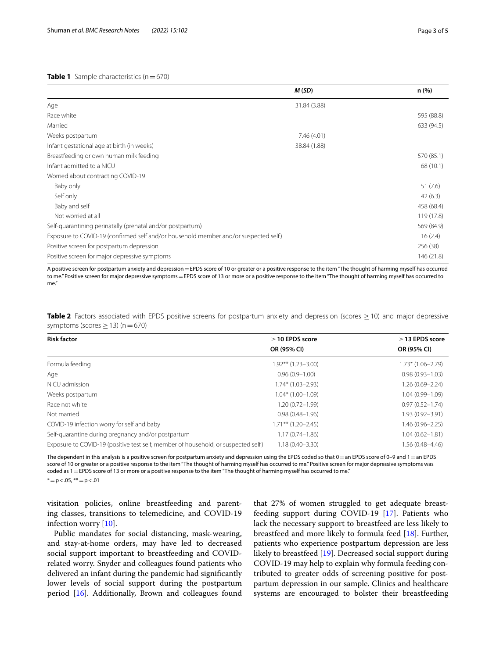### <span id="page-2-0"></span>**Table 1** Sample characteristics  $(n=670)$

|                                                                                     | M(SD)        | n(%)       |
|-------------------------------------------------------------------------------------|--------------|------------|
| Age                                                                                 | 31.84 (3.88) |            |
| Race white                                                                          |              | 595 (88.8) |
| Married                                                                             |              | 633 (94.5) |
| Weeks postpartum                                                                    | 7.46 (4.01)  |            |
| Infant gestational age at birth (in weeks)                                          | 38.84 (1.88) |            |
| Breastfeeding or own human milk feeding                                             |              | 570 (85.1) |
| Infant admitted to a NICU                                                           |              | 68 (10.1)  |
| Worried about contracting COVID-19                                                  |              |            |
| Baby only                                                                           |              | 51(7.6)    |
| Self only                                                                           |              | 42(6.3)    |
| Baby and self                                                                       |              | 458 (68.4) |
| Not worried at all                                                                  |              | 119 (17.8) |
| Self-quarantining perinatally (prenatal and/or postpartum)                          |              | 569 (84.9) |
| Exposure to COVID-19 (confirmed self and/or household member and/or suspected self) |              | 16(2.4)    |
| Positive screen for postpartum depression                                           |              | 256 (38)   |
| Positive screen for major depressive symptoms                                       |              | 146 (21.8) |

A positive screen for postpartum anxiety and depression=EPDS score of 10 or greater or a positive response to the item "The thought of harming myself has occurred to me." Positive screen for major depressive symptoms = EPDS score of 13 or more or a positive response to the item "The thought of harming myself has occurred to me."

<span id="page-2-1"></span>**Table 2** Factors associated with EPDS positive screens for postpartum anxiety and depression (scores ≥10) and major depressive symptoms (scores  $\geq$  13) (n = 670)

| <b>Risk factor</b>                                                                | $>$ 10 EPDS score       | $>$ 13 EPDS score   |
|-----------------------------------------------------------------------------------|-------------------------|---------------------|
|                                                                                   | OR (95% CI)             | OR (95% CI)         |
| Formula feeding                                                                   | $1.92***$ $(1.23-3.00)$ | $1.73*$ (1.06–2.79) |
| Age                                                                               | $0.96(0.9 - 1.00)$      | $0.98(0.93 - 1.03)$ |
| NICU admission                                                                    | $1.74*$ (1.03-2.93)     | $1.26(0.69 - 2.24)$ |
| Weeks postpartum                                                                  | $1.04*$ (1.00-1.09)     | $1.04(0.99 - 1.09)$ |
| Race not white                                                                    | $1.20(0.72 - 1.99)$     | $0.97(0.52 - 1.74)$ |
| Not married                                                                       | $0.98(0.48 - 1.96)$     | $1.93(0.92 - 3.91)$ |
| COVID-19 infection worry for self and baby                                        | $1.71***$ $(1.20-2.45)$ | $1.46(0.96 - 2.25)$ |
| Self-quarantine during pregnancy and/or postpartum                                | $1.17(0.74 - 1.86)$     | $1.04(0.62 - 1.81)$ |
| Exposure to COVID-19 (positive test self, member of household, or suspected self) | $1.18(0.40 - 3.30)$     | 1.56 (0.48-4.46)    |

The dependent in this analysis is a positive screen for postpartum anxiety and depression using the EPDS coded so that  $0 =$ an EPDS score of 0-9 and 1 = an EPDS score of 10 or greater or a positive response to the item "The thought of harming myself has occurred to me." Positive screen for major depressive symptoms was coded as  $1 =$  EPDS score of 13 or more or a positive response to the item "The thought of harming myself has occurred to me."

 $* = p < .05$ ,  $** = p < .01$ 

visitation policies, online breastfeeding and parenting classes, transitions to telemedicine, and COVID-19 infection worry [[10](#page-4-12)].

Public mandates for social distancing, mask-wearing, and stay-at-home orders, may have led to decreased social support important to breastfeeding and COVIDrelated worry. Snyder and colleagues found patients who delivered an infant during the pandemic had signifcantly lower levels of social support during the postpartum period [\[16](#page-4-13)]. Additionally, Brown and colleagues found

that 27% of women struggled to get adequate breastfeeding support during COVID-19 [[17\]](#page-4-14). Patients who lack the necessary support to breastfeed are less likely to breastfeed and more likely to formula feed [[18\]](#page-4-15). Further, patients who experience postpartum depression are less likely to breastfeed [[19\]](#page-4-16). Decreased social support during COVID-19 may help to explain why formula feeding contributed to greater odds of screening positive for postpartum depression in our sample. Clinics and healthcare systems are encouraged to bolster their breastfeeding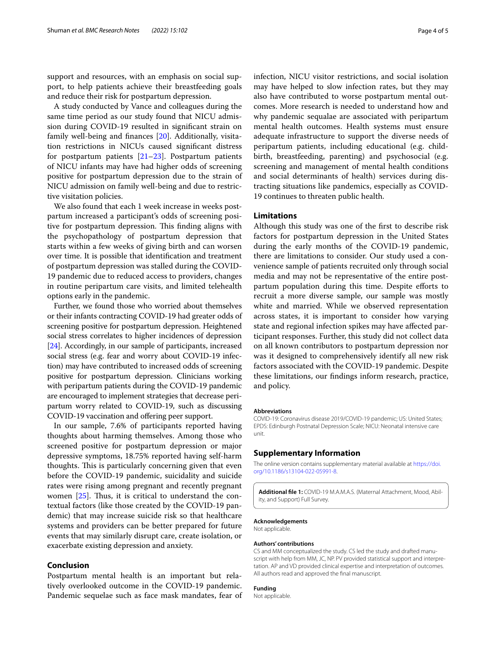support and resources, with an emphasis on social support, to help patients achieve their breastfeeding goals and reduce their risk for postpartum depression.

A study conducted by Vance and colleagues during the same time period as our study found that NICU admission during COVID-19 resulted in signifcant strain on family well-being and fnances [[20\]](#page-4-17). Additionally, visitation restrictions in NICUs caused signifcant distress for postpartum patients  $[21-23]$  $[21-23]$ . Postpartum patients of NICU infants may have had higher odds of screening positive for postpartum depression due to the strain of NICU admission on family well-being and due to restrictive visitation policies.

We also found that each 1 week increase in weeks postpartum increased a participant's odds of screening positive for postpartum depression. This finding aligns with the psychopathology of postpartum depression that starts within a few weeks of giving birth and can worsen over time. It is possible that identifcation and treatment of postpartum depression was stalled during the COVID-19 pandemic due to reduced access to providers, changes in routine peripartum care visits, and limited telehealth options early in the pandemic.

Further, we found those who worried about themselves or their infants contracting COVID-19 had greater odds of screening positive for postpartum depression. Heightened social stress correlates to higher incidences of depression [[24](#page-4-20)]. Accordingly, in our sample of participants, increased social stress (e.g. fear and worry about COVID-19 infection) may have contributed to increased odds of screening positive for postpartum depression. Clinicians working with peripartum patients during the COVID-19 pandemic are encouraged to implement strategies that decrease peripartum worry related to COVID-19, such as discussing COVID-19 vaccination and ofering peer support.

In our sample, 7.6% of participants reported having thoughts about harming themselves. Among those who screened positive for postpartum depression or major depressive symptoms, 18.75% reported having self-harm thoughts. This is particularly concerning given that even before the COVID-19 pandemic, suicidality and suicide rates were rising among pregnant and recently pregnant women  $[25]$ . Thus, it is critical to understand the contextual factors (like those created by the COVID-19 pandemic) that may increase suicide risk so that healthcare systems and providers can be better prepared for future events that may similarly disrupt care, create isolation, or exacerbate existing depression and anxiety.

## **Conclusion**

Postpartum mental health is an important but relatively overlooked outcome in the COVID-19 pandemic. Pandemic sequelae such as face mask mandates, fear of infection, NICU visitor restrictions, and social isolation may have helped to slow infection rates, but they may also have contributed to worse postpartum mental outcomes. More research is needed to understand how and why pandemic sequalae are associated with peripartum mental health outcomes. Health systems must ensure adequate infrastructure to support the diverse needs of peripartum patients, including educational (e.g. childbirth, breastfeeding, parenting) and psychosocial (e.g. screening and management of mental health conditions and social determinants of health) services during distracting situations like pandemics, especially as COVID-19 continues to threaten public health.

# **Limitations**

Although this study was one of the frst to describe risk factors for postpartum depression in the United States during the early months of the COVID-19 pandemic, there are limitations to consider. Our study used a convenience sample of patients recruited only through social media and may not be representative of the entire postpartum population during this time. Despite eforts to recruit a more diverse sample, our sample was mostly white and married. While we observed representation across states, it is important to consider how varying state and regional infection spikes may have afected participant responses. Further, this study did not collect data on all known contributors to postpartum depression nor was it designed to comprehensively identify all new risk factors associated with the COVID-19 pandemic. Despite these limitations, our fndings inform research, practice, and policy.

#### **Abbreviations**

COVID-19: Coronavirus disease 2019/COVID-19 pandemic; US: United States; EPDS: Edinburgh Postnatal Depression Scale; NICU: Neonatal intensive care unit.

### **Supplementary Information**

The online version contains supplementary material available at [https://doi.](https://doi.org/10.1186/s13104-022-05991-8) [org/10.1186/s13104-022-05991-8](https://doi.org/10.1186/s13104-022-05991-8).

<span id="page-3-0"></span>**Additional fle 1:** COVID-19 M.A.M.A.S. (Maternal Attachment, Mood, Ability, and Support) Full Survey.

# **Acknowledgements**

Not applicable.

## **Authors' contributions**

CS and MM conceptualized the study. CS led the study and drafted manuscript with help from MM, JC, NP. PV provided statistical support and interpretation. AP and VD provided clinical expertise and interpretation of outcomes. All authors read and approved the fnal manuscript.

#### **Funding**

Not applicable.